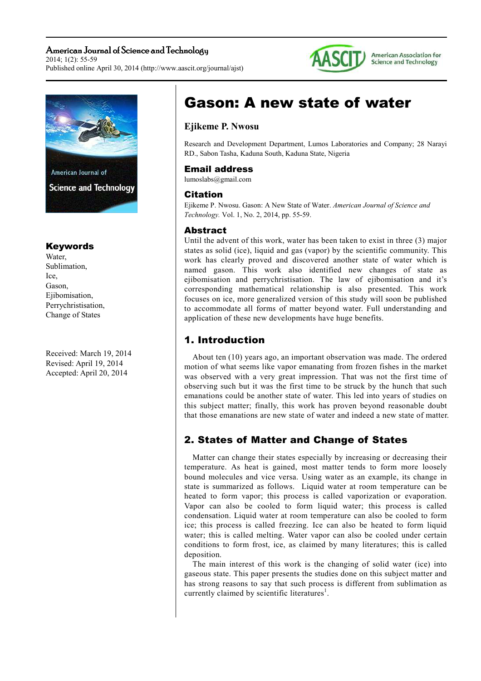## American Journal of Science and Technology  $2014:1(2):55-59$

Published online April 30, 2014 (http://www.aascit.org/journal/ajst)



American Association for Science and Technology



## Keywords

Water, Sublimation, Ice, Gason, Ejibomisation, Perrychristisation, Change of States

Received: March 19, 2014 Revised: April 19, 2014 Accepted: April 20, 2014

# Gason: A new state of water

## **Ejikeme P. Nwosu**

Research and Development Department, Lumos Laboratories and Company; 28 Narayi RD., Sabon Tasha, Kaduna South, Kaduna State, Nigeria

## Email address

lumoslabs@gmail.com

## Citation

Ejikeme P. Nwosu. Gason: A New State of Water. *American Journal of Science and Technology.* Vol. 1, No. 2, 2014, pp. 55-59.

## Abstract

Until the advent of this work, water has been taken to exist in three (3) major states as solid (ice), liquid and gas (vapor) by the scientific community. This work has clearly proved and discovered another state of water which is named gason. This work also identified new changes of state as ejibomisation and perrychristisation. The law of ejibomisation and it's corresponding mathematical relationship is also presented. This work focuses on ice, more generalized version of this study will soon be published to accommodate all forms of matter beyond water. Full understanding and application of these new developments have huge benefits.

# 1. Introduction

About ten (10) years ago, an important observation was made. The ordered motion of what seems like vapor emanating from frozen fishes in the market was observed with a very great impression. That was not the first time of observing such but it was the first time to be struck by the hunch that such emanations could be another state of water. This led into years of studies on this subject matter; finally, this work has proven beyond reasonable doubt that those emanations are new state of water and indeed a new state of matter.

# 2. States of Matter and Change of States

Matter can change their states especially by increasing or decreasing their temperature. As heat is gained, most matter tends to form more loosely bound molecules and vice versa. Using water as an example, its change in state is summarized as follows. Liquid water at room temperature can be heated to form vapor; this process is called vaporization or evaporation. Vapor can also be cooled to form liquid water; this process is called condensation. Liquid water at room temperature can also be cooled to form ice; this process is called freezing. Ice can also be heated to form liquid water; this is called melting. Water vapor can also be cooled under certain conditions to form frost, ice, as claimed by many literatures; this is called deposition.

The main interest of this work is the changing of solid water (ice) into gaseous state. This paper presents the studies done on this subject matter and has strong reasons to say that such process is different from sublimation as currently claimed by scientific literatures<sup>1</sup>.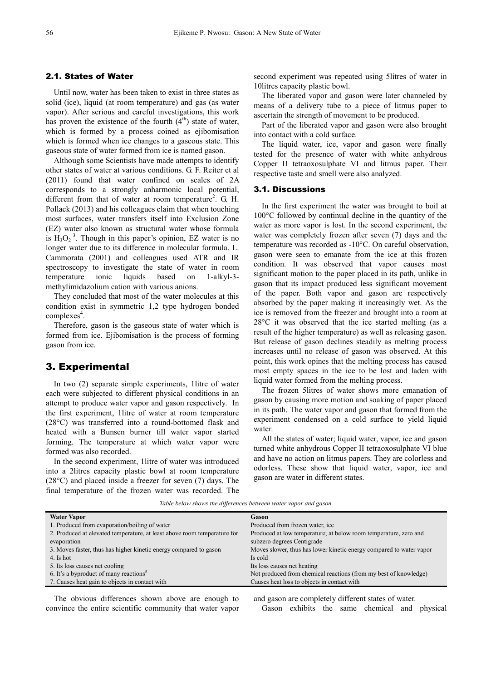#### 2.1. States of Water

Until now, water has been taken to exist in three states as solid (ice), liquid (at room temperature) and gas (as water vapor). After serious and careful investigations, this work has proven the existence of the fourth  $(4<sup>th</sup>)$  state of water, which is formed by a process coined as ejibomisation which is formed when ice changes to a gaseous state. This gaseous state of water formed from ice is named gason.

Although some Scientists have made attempts to identify other states of water at various conditions. G. F. Reiter et al (2011) found that water confined on scales of 2A corresponds to a strongly anharmonic local potential, different from that of water at room temperature<sup>2</sup>. G. H. Pollack (2013) and his colleagues claim that when touching most surfaces, water transfers itself into Exclusion Zone (EZ) water also known as structural water whose formula is  $H_3O_2^3$ . Though in this paper's opinion, EZ water is no longer water due to its difference in molecular formula. L. Cammorata (2001) and colleagues used ATR and IR spectroscopy to investigate the state of water in room temperature ionic liquids based on 1-alkyl-3 methylimidazolium cation with various anions.

They concluded that most of the water molecules at this condition exist in symmetric 1,2 type hydrogen bonded complexes<sup>4</sup>.

Therefore, gason is the gaseous state of water which is formed from ice. Ejibomisation is the process of forming gason from ice.

#### 3. Experimental

In two (2) separate simple experiments, 1litre of water each were subjected to different physical conditions in an attempt to produce water vapor and gason respectively. In the first experiment, 1litre of water at room temperature (28°C) was transferred into a round-bottomed flask and heated with a Bunsen burner till water vapor started forming. The temperature at which water vapor were formed was also recorded.

In the second experiment, 1litre of water was introduced into a 2litres capacity plastic bowl at room temperature (28°C) and placed inside a freezer for seven (7) days. The final temperature of the frozen water was recorded. The second experiment was repeated using 5litres of water in 10litres capacity plastic bowl.

The liberated vapor and gason were later channeled by means of a delivery tube to a piece of litmus paper to ascertain the strength of movement to be produced.

Part of the liberated vapor and gason were also brought into contact with a cold surface.

The liquid water, ice, vapor and gason were finally tested for the presence of water with white anhydrous Copper II tetraoxosulphate VI and litmus paper. Their respective taste and smell were also analyzed.

#### 3.1. Discussions

In the first experiment the water was brought to boil at 100°C followed by continual decline in the quantity of the water as more vapor is lost. In the second experiment, the water was completely frozen after seven (7) days and the temperature was recorded as -10°C. On careful observation, gason were seen to emanate from the ice at this frozen condition. It was observed that vapor causes most significant motion to the paper placed in its path, unlike in gason that its impact produced less significant movement of the paper. Both vapor and gason are respectively absorbed by the paper making it increasingly wet. As the ice is removed from the freezer and brought into a room at 28°C it was observed that the ice started melting (as a result of the higher temperature) as well as releasing gason. But release of gason declines steadily as melting process increases until no release of gason was observed. At this point, this work opines that the melting process has caused most empty spaces in the ice to be lost and laden with liquid water formed from the melting process.

The frozen 5litres of water shows more emanation of gason by causing more motion and soaking of paper placed in its path. The water vapor and gason that formed from the experiment condensed on a cold surface to yield liquid water.

All the states of water; liquid water, vapor, ice and gason turned white anhydrous Copper II tetraoxosulphate VI blue and have no action on litmus papers. They are colorless and odorless. These show that liquid water, vapor, ice and gason are water in different states.

*Table below shows the differences between water vapor and gason.* 

| <b>Water Vapor</b>                                                       | Gason                                                               |
|--------------------------------------------------------------------------|---------------------------------------------------------------------|
| 1. Produced from evaporation/boiling of water                            | Produced from frozen water, ice                                     |
| 2. Produced at elevated temperature, at least above room temperature for | Produced at low temperature; at below room temperature, zero and    |
| evaporation                                                              | subzero degrees Centigrade                                          |
| 3. Moves faster, thus has higher kinetic energy compared to gason        | Moves slower, thus has lower kinetic energy compared to water vapor |
| 4. Is hot                                                                | Is cold                                                             |
| 5. Its loss causes net cooling                                           | Its loss causes net heating                                         |
| 6. It's a byproduct of many reactions <sup>3</sup>                       | Not produced from chemical reactions (from my best of knowledge)    |
| 7. Causes heat gain to objects in contact with                           | Causes heat loss to objects in contact with                         |
|                                                                          |                                                                     |

The obvious differences shown above are enough to convince the entire scientific community that water vapor and gason are completely different states of water. Gason exhibits the same chemical and physical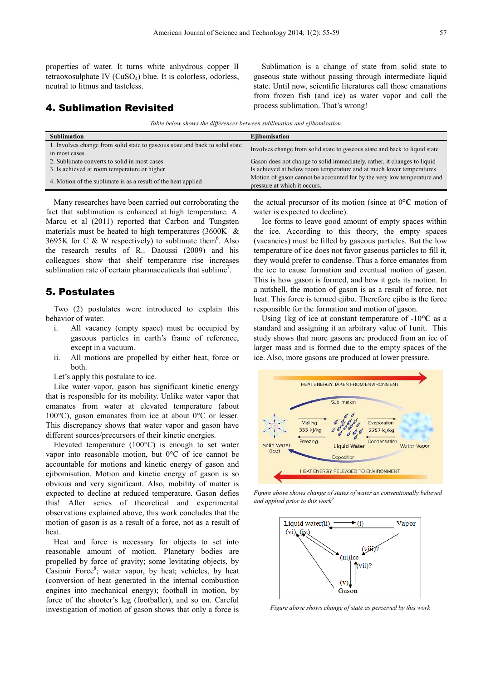properties of water. It turns white anhydrous copper II tetraoxosulphate IV (CuSO4) blue. It is colorless, odorless, neutral to litmus and tasteless.

## 4. Sublimation Revisited

Sublimation is a change of state from solid state to gaseous state without passing through intermediate liquid state. Until now, scientific literatures call those emanations from frozen fish (and ice) as water vapor and call the process sublimation. That's wrong!

*Table below shows the differences between sublimation and ejibomisation.* 

| <b>Sublimation</b>                                                           | <b>E</b> iibomisation                                                      |
|------------------------------------------------------------------------------|----------------------------------------------------------------------------|
| 1. Involves change from solid state to gaseous state and back to solid state | Involves change from solid state to gaseous state and back to liquid state |
| in most cases.                                                               |                                                                            |
| 2. Sublimate converts to solid in most cases                                 | Gason does not change to solid immediately, rather, it changes to liquid   |
| 3. Is achieved at room temperature or higher                                 | Is achieved at below room temperature and at much lower temperatures       |
| 4. Motion of the sublimate is as a result of the heat applied                | Motion of gason cannot be accounted for by the very low temperature and    |
|                                                                              | pressure at which it occurs.                                               |

Many researches have been carried out corroborating the fact that sublimation is enhanced at high temperature. A. Marcu et al (2011) reported that Carbon and Tungsten materials must be heated to high temperatures (3600K & 3695K for C & W respectively) to sublimate them<sup>6</sup>. Also the research results of R.. Daoussi (2009) and his colleagues show that shelf temperature rise increases sublimation rate of certain pharmaceuticals that sublime<sup>7</sup>.

## 5. Postulates

Two (2) postulates were introduced to explain this behavior of water.

- i. All vacancy (empty space) must be occupied by gaseous particles in earth's frame of reference, except in a vacuum.
- ii. All motions are propelled by either heat, force or both.

Let's apply this postulate to ice.

Like water vapor, gason has significant kinetic energy that is responsible for its mobility. Unlike water vapor that emanates from water at elevated temperature (about 100°C), gason emanates from ice at about 0°C or lesser. This discrepancy shows that water vapor and gason have different sources/precursors of their kinetic energies.

Elevated temperature (100°C) is enough to set water vapor into reasonable motion, but 0°C of ice cannot be accountable for motions and kinetic energy of gason and ejibomisation. Motion and kinetic energy of gason is so obvious and very significant. Also, mobility of matter is expected to decline at reduced temperature. Gason defies this! After series of theoretical and experimental observations explained above, this work concludes that the motion of gason is as a result of a force, not as a result of heat.

Heat and force is necessary for objects to set into reasonable amount of motion. Planetary bodies are propelled by force of gravity; some levitating objects, by Casimir Force<sup>8</sup>; water vapor, by heat; vehicles, by heat (conversion of heat generated in the internal combustion engines into mechanical energy); football in motion, by force of the shooter's leg (footballer), and so on. Careful investigation of motion of gason shows that only a force is

the actual precursor of its motion (since at 0**°C** motion of water is expected to decline).

Ice forms to leave good amount of empty spaces within the ice. According to this theory, the empty spaces (vacancies) must be filled by gaseous particles. But the low temperature of ice does not favor gaseous particles to fill it, they would prefer to condense. Thus a force emanates from the ice to cause formation and eventual motion of gason. This is how gason is formed, and how it gets its motion. In a nutshell, the motion of gason is as a result of force, not heat. This force is termed ejibo. Therefore ejibo is the force responsible for the formation and motion of gason.

Using 1kg of ice at constant temperature of -10**°C** as a standard and assigning it an arbitrary value of 1unit. This study shows that more gasons are produced from an ice of larger mass and is formed due to the empty spaces of the ice. Also, more gasons are produced at lower pressure.



*Figure above shows change of states of water as conventionally believed and applied prior to this work<sup>9</sup>*



*Figure above shows change of state as perceived by this work*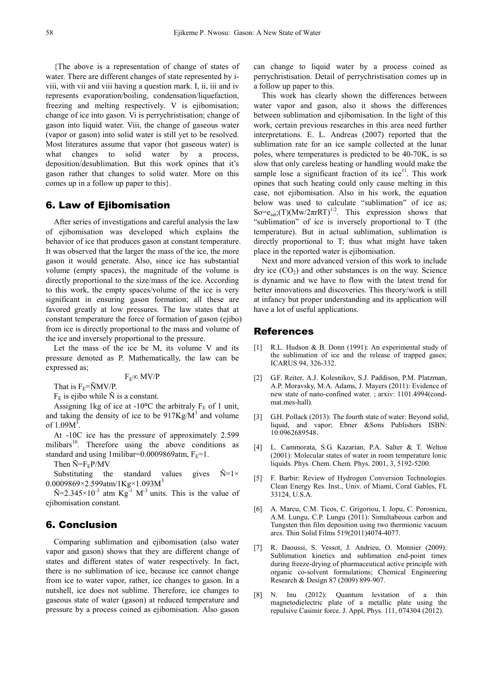{The above is a representation of change of states of water. There are different changes of state represented by iviii, with vii and viii having a question mark. I, ii, iii and iv represents evaporation/boiling, condensation/liquefaction, freezing and melting respectively. V is ejibomisation; change of ice into gason. Vi is perrychristisation; change of gason into liquid water. Viii, the change of gaseous water (vapor or gason) into solid water is still yet to be resolved. Most literatures assume that vapor (hot gaseous water) is what changes to solid water by a process, deposition/desublimation. But this work opines that it's gason rather that changes to solid water. More on this comes up in a follow up paper to this}.

## 6. Law of Ejibomisation

After series of investigations and careful analysis the law of ejibomisation was developed which explains the behavior of ice that produces gason at constant temperature. It was observed that the larger the mass of the ice, the more gason it would generate. Also, since ice has substantial volume (empty spaces), the magnitude of the volume is directly proportional to the size/mass of the ice. According to this work, the empty spaces/volume of the ice is very significant in ensuring gason formation; all these are favored greatly at low pressures. The law states that at constant temperature the force of formation of gason (ejibo) from ice is directly proportional to the mass and volume of the ice and inversely proportional to the pressure.

Let the mass of the ice be M, its volume V and its pressure denoted as P. Mathematically, the law can be expressed as;

 $F_{E} \infty$  MV/P

That is  $F_E = \tilde{N}MV/P$ .

 $F<sub>E</sub>$  is ejibo while  $\tilde{N}$  is a constant.

Assigning 1kg of ice at  $-10^{\circ}$ C the arbitraly F<sub>E</sub> of 1 unit, and taking the density of ice to be  $917\text{Kg/M}^3$  and volume of  $1.09M^3$ .

At -10C ice has the pressure of approximately 2.599 milibars $10$ . Therefore using the above conditions as standard and using 1milibar=0.0009869atm,  $F_E=1$ .

Then  $\tilde{N} = F_E P/MV$ 

Substituting the standard values gives  $\tilde{N}=1\times$  $0.0009869 \times 2.599$ atm/1Kg $\times$ 1.093M<sup>3</sup>

 $\tilde{N}=2.345\times10^{-3}$  atm  $Kg^{-1}$  M<sup>-3</sup> units. This is the value of ejibomisation constant.

## 6. Conclusion

Comparing sublimation and ejibomisation (also water vapor and gason) shows that they are different change of states and different states of water respectively. In fact, there is no sublimation of ice, because ice cannot change from ice to water vapor, rather, ice changes to gason. In a nutshell, ice does not sublime. Therefore, ice changes to gaseous state of water (gason) at reduced temperature and pressure by a process coined as ejibomisation. Also gason

can change to liquid water by a process coined as perrychristisation. Detail of perrychristisation comes up in a follow up paper to this.

This work has clearly shown the differences between water vapor and gason, also it shows the differences between sublimation and ejibomisation. In the light of this work, certain previous researches in this area need further interpretations. E. L. Andreas (2007) reported that the sublimation rate for an ice sample collected at the lunar poles, where temperatures is predicted to be 40-70K, is so slow that only careless heating or handling would make the sample lose a significant fraction of its  $ice<sup>11</sup>$ . This work opines that such heating could only cause melting in this case, not ejibomisation. Also in his work, the equation below was used to calculate "sublimation" of ice as; So= $e_{sat}$ ;(T)(Mw/2 $\pi$ rRT)<sup>1/2</sup>. This expression shows that "sublimation" of ice is inversely proportional to T (the temperature). But in actual sublimation, sublimation is directly proportional to T; thus what might have taken place in the reported water is ejibomisation.

Next and more advanced version of this work to include  $\text{dry ice (CO}_2)$  and other substances is on the way. Science is dynamic and we have to flow with the latest trend for better innovations and discoveries. This theory/work is still at infancy but proper understanding and its application will have a lot of useful applications.

#### References

- [1] R.L. Hudson & B. Donn (1991): An experimental study of the sublimation of ice and the release of trapped gases; ICARUS 94, 326-332.
- [2] G.F. Reiter, A.J. Kolesnikov, S.J. Paddison, P.M. Platzman, A.P. Moravsky, M.A. Adams, J. Mayers (2011): Evidence of new state of nano-confined water. ; arxiv: 1101.4994(condmat.mes-hall).
- [3] G.H. Pollack (2013): The fourth state of water: Beyond solid, liquid, and vapor; Ebner &Sons Publishers ISBN: 10:0962689548.
- [4] L. Cammorata, S.G. Kazarian, P.A. Salter & T. Welton (2001): Molecular states of water in room temperature lonic liquids. Phys. Chem. Chem. Phys. 2001, 3, 5192-5200.
- [5] F. Barbir: Review of Hydrogen Conversion Technologies. Clean Energy Res. Inst., Univ. of Miami, Coral Gables, FL 33124, U.S.A.
- [6] A. Marcu, C.M. Ticos, C. Grigoriou, I. Jopu, C. Porosnicu, A.M. Lungu, C.P. Lungu (2011): Simultabeous carbon and Tungsten thin film deposition using two thermionic vacuum arcs. Thin Solid Films 519(2011)4074-4077.
- [7] R. Daoussi, S. Vessot, J. Andrieu, O. Monnier (2009): Sublimation kinetics and sublimation end-point times during freeze-drying of pharmaceutical active principle with organic co-solvent formulations; Chemical Engineering Research & Design 87 (2009) 899-907.
- [8] N. Inu (2012): Quantum levitation of a thin magnetodielectric plate of a metallic plate using the repulsive Casimir force. J. Appl, Phys. 111, 074304 (2012).